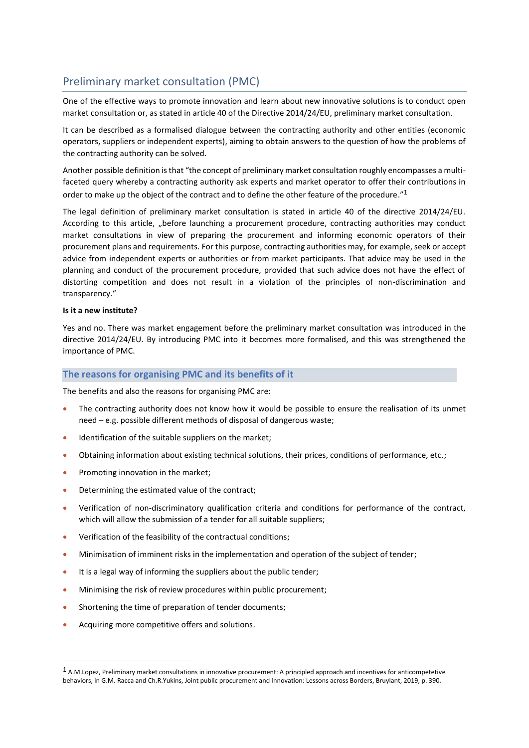# Preliminary market consultation (PMC)

One of the effective ways to promote innovation and learn about new innovative solutions is to conduct open market consultation or, as stated in article 40 of the Directive 2014/24/EU, preliminary market consultation.

It can be described as a formalised dialogue between the contracting authority and other entities (economic operators, suppliers or independent experts), aiming to obtain answers to the question of how the problems of the contracting authority can be solved.

Another possible definition is that "the concept of preliminary market consultation roughly encompasses a multifaceted query whereby a contracting authority ask experts and market operator to offer their contributions in order to make up the object of the contract and to define the other feature of the procedure."<sup>1</sup>

The legal definition of preliminary market consultation is stated in article 40 of the directive 2014/24/EU. According to this article, "before launching a procurement procedure, contracting authorities may conduct market consultations in view of preparing the procurement and informing economic operators of their procurement plans and requirements. For this purpose, contracting authorities may, for example, seek or accept advice from independent experts or authorities or from market participants. That advice may be used in the planning and conduct of the procurement procedure, provided that such advice does not have the effect of distorting competition and does not result in a violation of the principles of non-discrimination and transparency."

## **Is it a new institute?**

Yes and no. There was market engagement before the preliminary market consultation was introduced in the directive 2014/24/EU. By introducing PMC into it becomes more formalised, and this was strengthened the importance of PMC.

# **The reasons for organising PMC and its benefits of it**

The benefits and also the reasons for organising PMC are:

- The contracting authority does not know how it would be possible to ensure the realisation of its unmet need – e.g. possible different methods of disposal of dangerous waste;
- Identification of the suitable suppliers on the market;
- Obtaining information about existing technical solutions, their prices, conditions of performance, etc.;
- Promoting innovation in the market;
- Determining the estimated value of the contract;
- Verification of non-discriminatory qualification criteria and conditions for performance of the contract, which will allow the submission of a tender for all suitable suppliers;
- Verification of the feasibility of the contractual conditions;
- Minimisation of imminent risks in the implementation and operation of the subject of tender;
- It is a legal way of informing the suppliers about the public tender;
- Minimising the risk of review procedures within public procurement:
- Shortening the time of preparation of tender documents;
- Acquiring more competitive offers and solutions.

<sup>1</sup> A.M.Lopez, Preliminary market consultations in innovative procurement: A principled approach and incentives for anticompetetive behaviors, in G.M. Racca and Ch.R.Yukins, Joint public procurement and Innovation: Lessons across Borders, Bruylant, 2019, p. 390.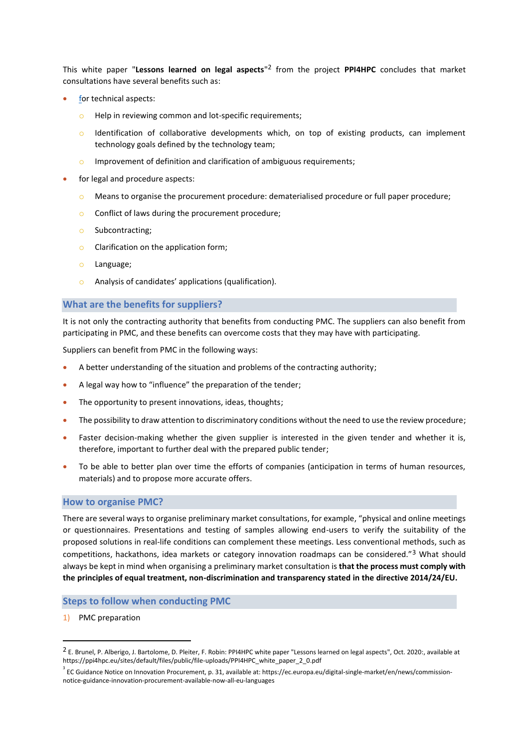This white paper "**Lessons learned on legal aspects**" <sup>2</sup> from the project **PPI4HPC** concludes that market consultations have several benefits such as:

- for technical aspects:
	- o Help in reviewing common and lot-specific requirements;
	- o Identification of collaborative developments which, on top of existing products, can implement technology goals defined by the technology team;
	- o Improvement of definition and clarification of ambiguous requirements;
- for legal and procedure aspects:
	- $\circ$  Means to organise the procurement procedure: dematerialised procedure or full paper procedure;
	- o Conflict of laws during the procurement procedure;
	- o Subcontracting;
	- o Clarification on the application form;
	- o Language;
	- o Analysis of candidates' applications (qualification).

## **What are the benefits for suppliers?**

It is not only the contracting authority that benefits from conducting PMC. The suppliers can also benefit from participating in PMC, and these benefits can overcome costs that they may have with participating.

Suppliers can benefit from PMC in the following ways:

- A better understanding of the situation and problems of the contracting authority;
- A legal way how to "influence" the preparation of the tender:
- The opportunity to present innovations, ideas, thoughts;
- The possibility to draw attention to discriminatory conditions without the need to use the review procedure;
- Faster decision-making whether the given supplier is interested in the given tender and whether it is, therefore, important to further deal with the prepared public tender;
- To be able to better plan over time the efforts of companies (anticipation in terms of human resources, materials) and to propose more accurate offers.

### **How to organise PMC?**

There are several ways to organise preliminary market consultations, for example, "physical and online meetings or questionnaires. Presentations and testing of samples allowing end-users to verify the suitability of the proposed solutions in real-life conditions can complement these meetings. Less conventional methods, such as competitions, hackathons, idea markets or category innovation roadmaps can be considered."<sup>3</sup> What should always be kept in mind when organising a preliminary market consultation is **that the process must comply with the principles of equal treatment, non-discrimination and transparency stated in the directive 2014/24/EU.**

## **Steps to follow when conducting PMC**

1) PMC preparation

<sup>2</sup> E. Brunel, P. Alberigo, J. Bartolome, D. Pleiter, F. Robin: PPI4HPC white paper "Lessons learned on legal aspects", Oct. 2020:, available at https://ppi4hpc.eu/sites/default/files/public/file-uploads/PPI4HPC\_white\_paper\_2\_0.pdf

 $^3$  EC Guidance Notice on Innovation Procurement, p. 31, available at: https://ec.europa.eu/digital-single-market/en/news/commissionnotice-guidance-innovation-procurement-available-now-all-eu-languages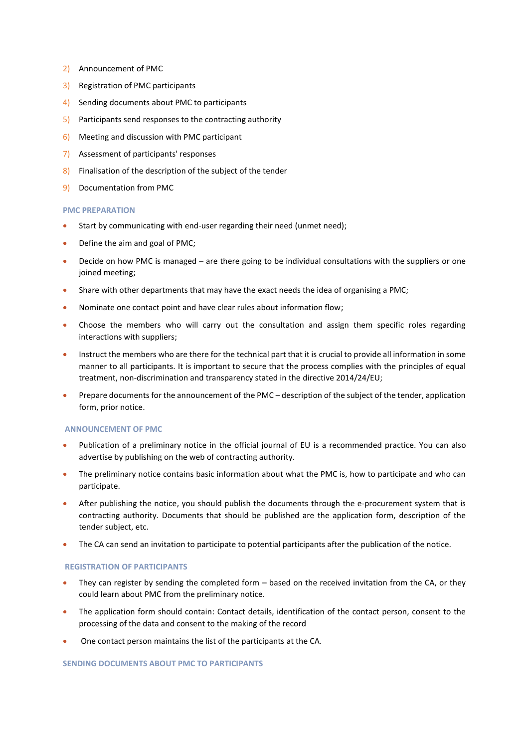- 2) Announcement of PMC
- 3) Registration of PMC participants
- 4) Sending documents about PMC to participants
- 5) Participants send responses to the contracting authority
- 6) Meeting and discussion with PMC participant
- 7) Assessment of participants' responses
- 8) Finalisation of the description of the subject of the tender
- 9) Documentation from PMC

#### **PMC PREPARATION**

- Start by communicating with end-user regarding their need (unmet need);
- Define the aim and goal of PMC;
- Decide on how PMC is managed are there going to be individual consultations with the suppliers or one joined meeting;
- Share with other departments that may have the exact needs the idea of organising a PMC;
- Nominate one contact point and have clear rules about information flow;
- Choose the members who will carry out the consultation and assign them specific roles regarding interactions with suppliers;
- Instruct the members who are there for the technical part that it is crucial to provide all information in some manner to all participants. It is important to secure that the process complies with the principles of equal treatment, non-discrimination and transparency stated in the directive 2014/24/EU;
- Prepare documents for the announcement of the PMC description of the subject of the tender, application form, prior notice.

#### **ANNOUNCEMENT OF PMC**

- Publication of a preliminary notice in the official journal of EU is a recommended practice. You can also advertise by publishing on the web of contracting authority.
- The preliminary notice contains basic information about what the PMC is, how to participate and who can participate.
- After publishing the notice, you should publish the documents through the e-procurement system that is contracting authority. Documents that should be published are the application form, description of the tender subject, etc.
- The CA can send an invitation to participate to potential participants after the publication of the notice.

#### **REGISTRATION OF PARTICIPANTS**

- They can register by sending the completed form based on the received invitation from the CA, or they could learn about PMC from the preliminary notice.
- The application form should contain: Contact details, identification of the contact person, consent to the processing of the data and consent to the making of the record
- One contact person maintains the list of the participants at the CA.

#### **SENDING DOCUMENTS ABOUT PMC TO PARTICIPANTS**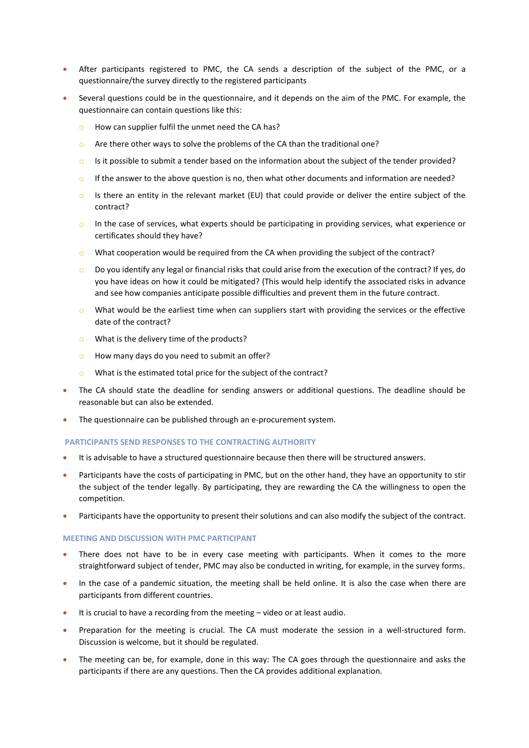- After participants registered to PMC, the CA sends a description of the subject of the PMC, or a questionnaire/the survey directly to the registered participants
- Several questions could be in the questionnaire, and it depends on the aim of the PMC. For example, the questionnaire can contain questions like this:
	- o How can supplier fulfil the unmet need the CA has?
	- $\circ$  Are there other ways to solve the problems of the CA than the traditional one?
	- $\circ$  Is it possible to submit a tender based on the information about the subject of the tender provided?
	- $\circ$  If the answer to the above question is no, then what other documents and information are needed?
	- $\circ$  Is there an entity in the relevant market (EU) that could provide or deliver the entire subject of the contract?
	- $\circ$  In the case of services, what experts should be participating in providing services, what experience or certificates should they have?
	- $\circ$  What cooperation would be required from the CA when providing the subject of the contract?
	- $\circ$  Do you identify any legal or financial risks that could arise from the execution of the contract? If yes, do you have ideas on how it could be mitigated? (This would help identify the associated risks in advance and see how companies anticipate possible difficulties and prevent them in the future contract.
	- $\circ$  What would be the earliest time when can suppliers start with providing the services or the effective date of the contract?
	- o What is the delivery time of the products?
	- o How many days do you need to submit an offer?
	- o What is the estimated total price for the subject of the contract?
- The CA should state the deadline for sending answers or additional questions. The deadline should be reasonable but can also be extended.
- The questionnaire can be published through an e-procurement system.

#### **PARTICIPANTS SEND RESPONSES TO THE CONTRACTING AUTHORITY**

- It is advisable to have a structured questionnaire because then there will be structured answers.
- Participants have the costs of participating in PMC, but on the other hand, they have an opportunity to stir the subject of the tender legally. By participating, they are rewarding the CA the willingness to open the competition.
- Participants have the opportunity to present their solutions and can also modify the subject of the contract.

#### **MEETING AND DISCUSSION WITH PMC PARTICIPANT**

- There does not have to be in every case meeting with participants. When it comes to the more straightforward subject of tender, PMC may also be conducted in writing, for example, in the survey forms.
- In the case of a pandemic situation, the meeting shall be held online. It is also the case when there are participants from different countries.
- It is crucial to have a recording from the meeting video or at least audio.
- Preparation for the meeting is crucial. The CA must moderate the session in a well-structured form. Discussion is welcome, but it should be regulated.
- The meeting can be, for example, done in this way: The CA goes through the questionnaire and asks the participants if there are any questions. Then the CA provides additional explanation.